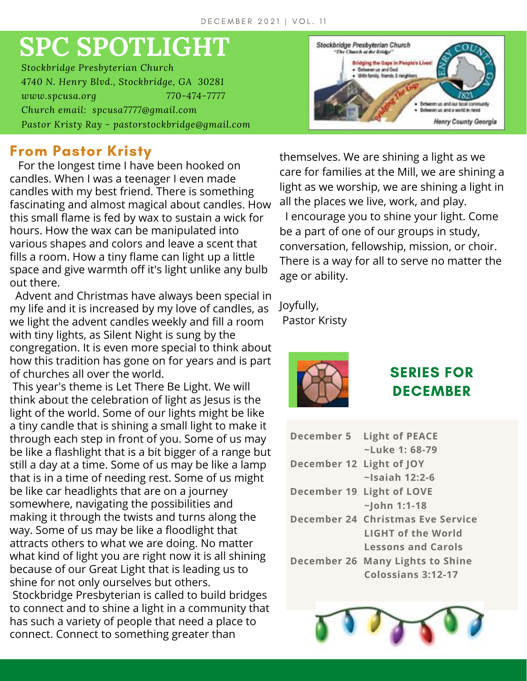# **SPC SPOTLIGHT**

*Stockbridge Presbyterian Church 4740 N. Henry Blvd., Stockbridge, GA 30281 www.spcusa.org 770-474-7777 Church email: spcusa7777@gmail.com Pastor Kristy Ray - pastorstockbridge@gmail.com*

# **From Pastor Kristy**

For the longest time I have been hooked on candles. When I was a teenager I even made candles with my best friend. There is something fascinating and almost magical about candles. How this small flame is fed by wax to sustain a wick for hours. How the wax can be manipulated into various shapes and colors and leave a scent that fills a room. How a tiny flame can light up a little space and give warmth off it's light unlike any bulb out there.

Advent and Christmas have always been special in my life and it is increased by my love of candles, as we light the advent candles weekly and fill a room with tiny lights, as Silent Night is sung by the congregation. It is even more special to think about how this tradition has gone on for years and is part of churches all over the world.

This year's theme is Let There Be Light. We will think about the celebration of light as Jesus is the light of the world. Some of our lights might be like a tiny candle that is shining a small light to make it through each step in front of you. Some of us may be like a flashlight that is a bit bigger of a range but still a day at a time. Some of us may be like a lamp that is in a time of needing rest. Some of us might be like car headlights that are on a journey somewhere, navigating the possibilities and making it through the twists and turns along the way. Some of us may be like a floodlight that attracts others to what we are doing. No matter what kind of light you are right now it is all shining because of our Great Light that is leading us to shine for not only ourselves but others. Stockbridge Presbyterian is called to build bridges to connect and to shine a light in a community that has such a variety of people that need a place to connect. Connect to something greater than



themselves. We are shining a light as we care for families at the Mill, we are shining a light as we worship, we are shining a light in all the places we live, work, and play.

I encourage you to shine your light. Come be a part of one of our groups in study, conversation, fellowship, mission, or choir. There is a way for all to serve no matter the age or ability.

Joyfully, Pastor Kristy



# **SERIES FOR DECEMBER**

| December 5               | <b>Light of PEACE</b>             |
|--------------------------|-----------------------------------|
|                          | $\sim$ Luke 1: 68-79              |
| December 12 Light of JOY |                                   |
|                          | $\sim$ Isaiah 12:2-6              |
|                          | December 19 Light of LOVE         |
|                          | $\sim$ John 1:1-18                |
|                          | December 24 Christmas Eve Service |
|                          | LIGHT of the World                |
|                          | <b>Lessons and Carols</b>         |
|                          | December 26 Many Lights to Shine  |
|                          | <b>Colossians 3:12-17</b>         |

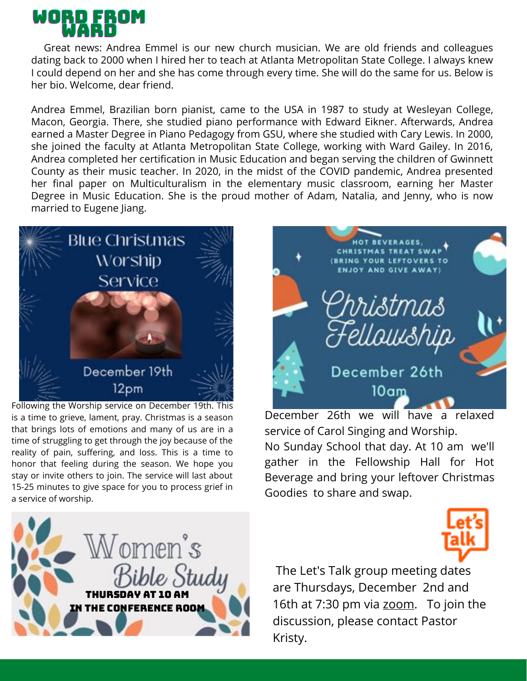

Great news: Andrea Emmel is our new church musician. We are old friends and colleagues dating back to 2000 when I hired her to teach at Atlanta Metropolitan State College. I always knew I could depend on her and she has come through every time. She will do the same for us. Below is her bio. Welcome, dear friend.

Andrea Emmel, Brazilian born pianist, came to the USA in 1987 to study at Wesleyan College, Macon, Georgia. There, she studied piano performance with Edward Eikner. Afterwards, Andrea earned a Master Degree in Piano Pedagogy from GSU, where she studied with Cary Lewis. In 2000, she joined the faculty at Atlanta Metropolitan State College, working with Ward Gailey. In 2016, Andrea completed her certification in Music Education and began serving the children of Gwinnett County as their music teacher. In 2020, in the midst of the COVID pandemic, Andrea presented her final paper on Multiculturalism in the elementary music classroom, earning her Master Degree in Music Education. She is the proud mother of Adam, Natalia, and Jenny, who is now married to Eugene Jiang.



Following the Worship service on December 19th. This is a time to grieve, lament, pray. Christmas is a season that brings lots of emotions and many of us are in a time of struggling to get through the joy because of the reality of pain, suffering, and loss. This is a time to honor that feeling during the season. We hope you stay or invite others to join. The service will last about 15-25 minutes to give space for you to process grief in a service of worship.





December 26th we will have a relaxed service of Carol Singing and Worship.

No Sunday School that day. At 10 am we'll gather in the Fellowship Hall for Hot Beverage and bring your leftover Christmas Goodies to share and swap.



The Let's Talk group meeting dates are Thursdays, December 2nd and 16th at 7:30 pm via [zoom](https://zoom.us/j/94536239897?pwd=dm55aWllbUlkL0RnRzRhR0NBeUp1QT09#success). To join the discussion, please contact Pastor Kristy.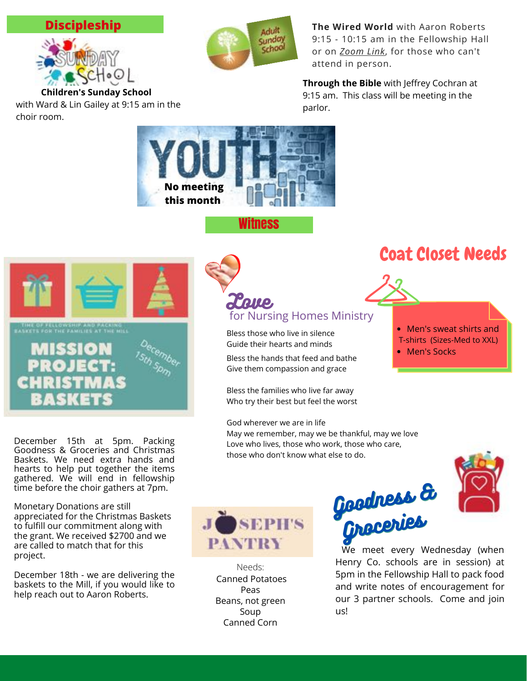#### **Discipleship**



choir room.

with Ward & Lin Gailey at 9:15 am in the

Adult **Sunday** School

**The Wired World** with Aaron Roberts 9:15 - 10:15 am in the Fellowship Hall or on *[Zoom](https://us06web.zoom.us/j/95920871825?pwd=UERxYUY5TGxKcEQrcnphcnF2US9xdz09#success) Link*, for those who can't attend in person.

**Through the Bible** with Jeffrey Cochran at 9:15 am. This class will be meeting in the parlor.



Witness





December 15th at 5pm. Packing Goodness & Groceries and Christmas Baskets. We need extra hands and hearts to help put together the items gathered. We will end in fellowship time before the choir gathers at 7pm.

Monetary Donations are still appreciated for the Christmas Baskets to fulfill our commitment along with the grant. We received \$2700 and we are called to match that for this project.

December 18th - we are delivering the baskets to the Mill, if you would like to help reach out to Aaron Roberts.

## L'one, for Nursing Homes Ministry

Bless those who live in silence Guide their hearts and minds

Bless the hands that feed and bathe Give them compassion and grace

Bless the families who live far away Who try their best but feel the worst

#### God wherever we are in life

May we remember, may we be thankful, may we love Love who lives, those who work, those who care, those who don't know what else to do.





Needs: Canned Potatoes Peas Beans, not green Soup Canned Corn

Goodness & Goodness& Groceries Groceries

We meet every Wednesday (when Henry Co. schools are in session) at 5pm in the Fellowship Hall to pack food and write notes of encouragement for our 3 partner schools. Come and join us!

# Coat Closet Needs



- Men's sweat shirts and
- T-shirts (Sizes-Med to XXL)
- Men's Socks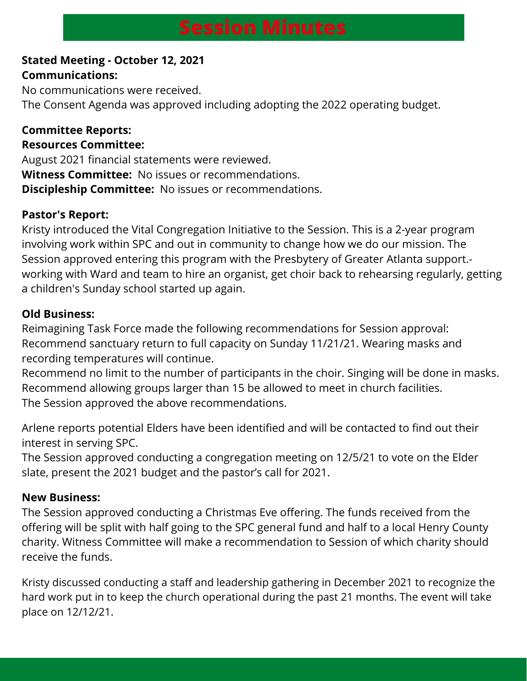#### **Stated Meeting - October 12, 2021 Communications:**

No communications were received. The Consent Agenda was approved including adopting the 2022 operating budget.

# **Committee Reports:**

#### **Resources Committee:**

August 2021 financial statements were reviewed. **Witness Committee:** No issues or recommendations. **Discipleship Committee:** No issues or recommendations.

#### **Pastor's Report:**

Kristy introduced the Vital Congregation Initiative to the Session. This is a 2-year program involving work within SPC and out in community to change how we do our mission. The Session approved entering this program with the Presbytery of Greater Atlanta support. working with Ward and team to hire an organist, get choir back to rehearsing regularly, getting a children's Sunday school started up again.

#### **Old Business:**

Reimagining Task Force made the following recommendations for Session approval: Recommend sanctuary return to full capacity on Sunday 11/21/21. Wearing masks and recording temperatures will continue.

Recommend no limit to the number of participants in the choir. Singing will be done in masks. Recommend allowing groups larger than 15 be allowed to meet in church facilities. The Session approved the above recommendations.

Arlene reports potential Elders have been identified and will be contacted to find out their interest in serving SPC.

The Session approved conducting a congregation meeting on 12/5/21 to vote on the Elder slate, present the 2021 budget and the pastor's call for 2021.

#### **New Business:**

The Session approved conducting a Christmas Eve offering. The funds received from the offering will be split with half going to the SPC general fund and half to a local Henry County charity. Witness Committee will make a recommendation to Session of which charity should receive the funds.

Kristy discussed conducting a staff and leadership gathering in December 2021 to recognize the hard work put in to keep the church operational during the past 21 months. The event will take place on 12/12/21.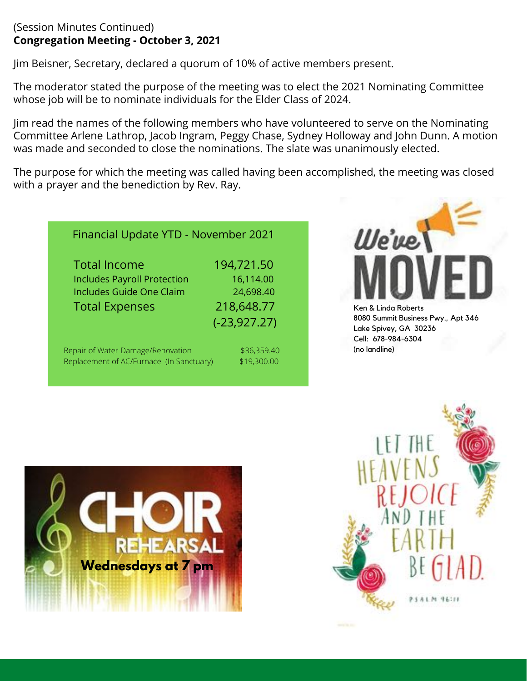#### (Session Minutes Continued) **Congregation Meeting - October 3, 2021**

Jim Beisner, Secretary, declared a quorum of 10% of active members present.

The moderator stated the purpose of the meeting was to elect the 2021 Nominating Committee whose job will be to nominate individuals for the Elder Class of 2024.

Jim read the names of the following members who have volunteered to serve on the Nominating Committee Arlene Lathrop, Jacob Ingram, Peggy Chase, Sydney Holloway and John Dunn. A motion was made and seconded to close the nominations. The slate was unanimously elected.

The purpose for which the meeting was called having been accomplished, the meeting was closed with a prayer and the benediction by Rev. Ray.

| Financial Update YTD - November 2021                                                                                  |                                                                       |  |  |  |
|-----------------------------------------------------------------------------------------------------------------------|-----------------------------------------------------------------------|--|--|--|
| <b>Total Income</b><br><b>Includes Payroll Protection</b><br><b>Includes Guide One Claim</b><br><b>Total Expenses</b> | 194,721.50<br>16,114.00<br>24,698.40<br>218,648.77<br>$(-23, 927.27)$ |  |  |  |
| Repair of Water Damage/Renovation<br>Replacement of AC/Furnace (In Sanctuary)                                         | \$36,359.40<br>\$19,300.00                                            |  |  |  |



8080 Summit Business Pwy., Apt 346 Lake Spivey, GA 30236 Cell: 678-984-6304 (no landline)